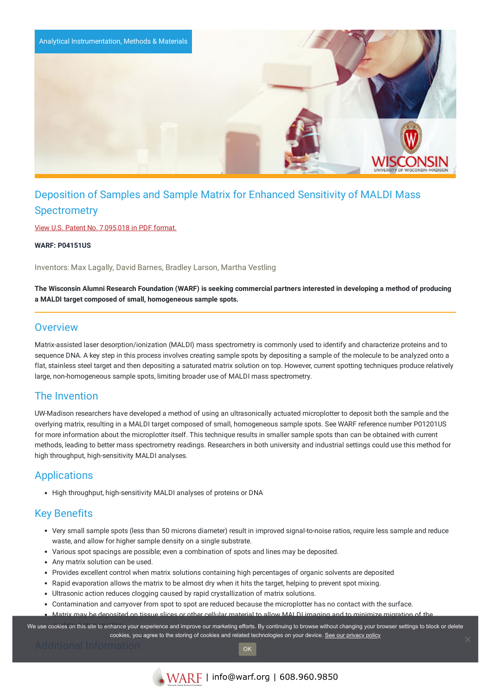

# Deposition of Samples and Sample Matrix for Enhanced Sensitivity of MALDI Mass **Spectrometry**

View U.S. Patent No. [7,095,018](https://www.warf.org/wp-content/uploads/technologies/ipstatus/P04151US.PDF) in PDF format.

**WARF: P04151US**

Inventors: Max Lagally, David Barnes, Bradley Larson, Martha Vestling

The Wisconsin Alumni Research Foundation (WARF) is seeking commercial partners interested in developing a method of producing **a MALDI target composed of small, homogeneous sample spots.**

### **Overview**

Matrix-assisted laser desorption/ionization (MALDI) mass spectrometry is commonly used to identify and characterize proteins and to sequence DNA. A key step in this process involves creating sample spots by depositing a sample of the molecule to be analyzed onto a flat, stainless steel target and then depositing a saturated matrix solution on top. However, current spotting techniques produce relatively large, non-homogeneous sample spots, limiting broader use of MALDI mass spectrometry.

### The Invention

UW-Madison researchers have developed a method of using an ultrasonically actuated microplotter to deposit both the sample and the overlying matrix, resulting in a MALDI target composed of small, homogeneous sample spots. See WARF reference number P01201US for more information about the microplotter itself. This technique results in smaller sample spots than can be obtained with current methods, leading to better mass spectrometry readings. Researchers in both university and industrial settings could use this method for high throughput, high-sensitivity MALDI analyses.

## **Applications**

• High throughput, high-sensitivity MALDI analyses of proteins or DNA

## Key Benefits

- Very small sample spots (less than 50 microns diameter) result in improved signal-to-noise ratios, require less sample and reduce waste, and allow for higher sample density on a single substrate.
- Various spot spacings are possible; even a combination of spots and lines may be deposited.
- Any matrix solution can be used.
- Provides excellent control when matrix solutions containing high percentages of organic solvents are deposited
- Rapid evaporation allows the matrix to be almost dry when it hits the target, helping to prevent spot mixing.
- Ultrasonic action reduces clogging caused by rapid crystallization of matrix solutions.
- Contamination and carryover from spot to spot are reduced because the microplotter has no contact with the surface.
- Matrix may be deposited on tissue slices or other cellular material to allow MALDI imaging and to minimize migration of the

We use cookies on this site to enhance your experience and improve our marketing efforts. By continuing to browse without changing your browser settings to block or delete cookies, you agree to the storing of cookies and related technologies on your device. [See our privacy policy](https://www.warf.org/privacy-policy/)

OK